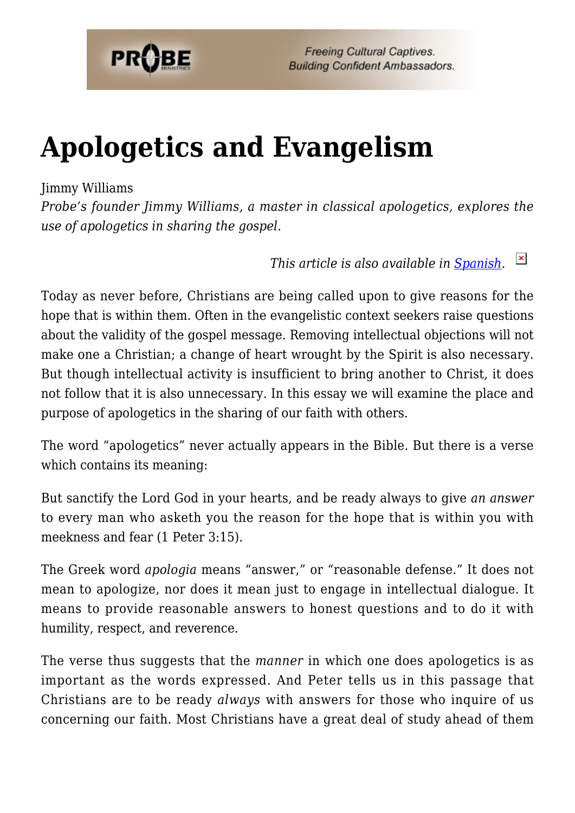

**Freeing Cultural Captives. Building Confident Ambassadors.** 

# **[Apologetics and Evangelism](https://probe.org/apologetics-and-evangelism/)**

#### Jimmy Williams

*Probe's founder Jimmy Williams, a master in classical apologetics, explores the use of apologetics in sharing the gospel.*

> $\pmb{\times}$ *This article is also available in [Spanish.](http://www.ministeriosprobe.org/docs/apologetica_evangelismo.html)*

Today as never before, Christians are being called upon to give reasons for the hope that is within them. Often in the evangelistic context seekers raise questions about the validity of the gospel message. Removing intellectual objections will not make one a Christian; a change of heart wrought by the Spirit is also necessary. But though intellectual activity is insufficient to bring another to Christ, it does not follow that it is also unnecessary. In this essay we will examine the place and purpose of apologetics in the sharing of our faith with others.

The word "apologetics" never actually appears in the Bible. But there is a verse which contains its meaning:

But sanctify the Lord God in your hearts, and be ready always to give *an answer* to every man who asketh you the reason for the hope that is within you with meekness and fear (1 Peter 3:15).

The Greek word *apologia* means "answer," or "reasonable defense." It does not mean to apologize, nor does it mean just to engage in intellectual dialogue. It means to provide reasonable answers to honest questions and to do it with humility, respect, and reverence.

The verse thus suggests that the *manner* in which one does apologetics is as important as the words expressed. And Peter tells us in this passage that Christians are to be ready *always* with answers for those who inquire of us concerning our faith. Most Christians have a great deal of study ahead of them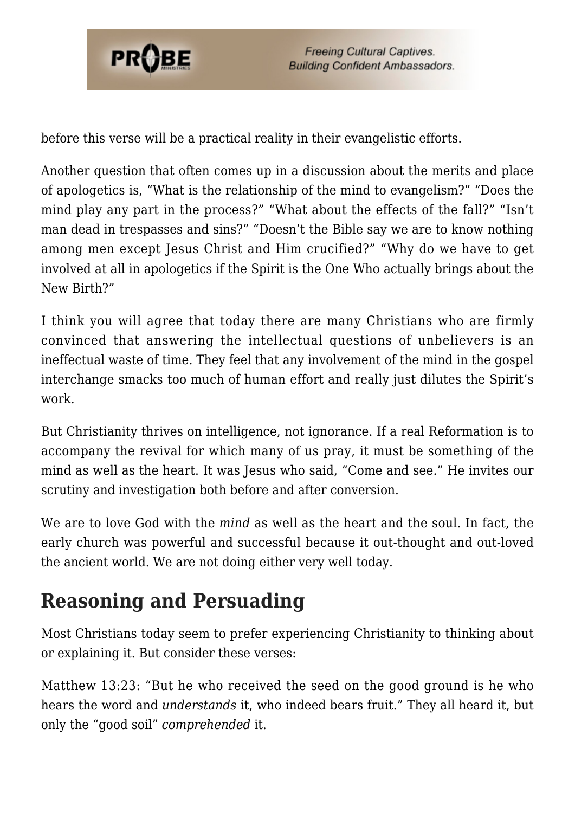

before this verse will be a practical reality in their evangelistic efforts.

Another question that often comes up in a discussion about the merits and place of apologetics is, "What is the relationship of the mind to evangelism?" "Does the mind play any part in the process?" "What about the effects of the fall?" "Isn't man dead in trespasses and sins?" "Doesn't the Bible say we are to know nothing among men except Jesus Christ and Him crucified?" "Why do we have to get involved at all in apologetics if the Spirit is the One Who actually brings about the New Birth?"

I think you will agree that today there are many Christians who are firmly convinced that answering the intellectual questions of unbelievers is an ineffectual waste of time. They feel that any involvement of the mind in the gospel interchange smacks too much of human effort and really just dilutes the Spirit's work.

But Christianity thrives on intelligence, not ignorance. If a real Reformation is to accompany the revival for which many of us pray, it must be something of the mind as well as the heart. It was Jesus who said, "Come and see." He invites our scrutiny and investigation both before and after conversion.

We are to love God with the *mind* as well as the heart and the soul. In fact, the early church was powerful and successful because it out-thought and out-loved the ancient world. We are not doing either very well today.

## **Reasoning and Persuading**

Most Christians today seem to prefer experiencing Christianity to thinking about or explaining it. But consider these verses:

Matthew 13:23: "But he who received the seed on the good ground is he who hears the word and *understands* it, who indeed bears fruit." They all heard it, but only the "good soil" *comprehended* it.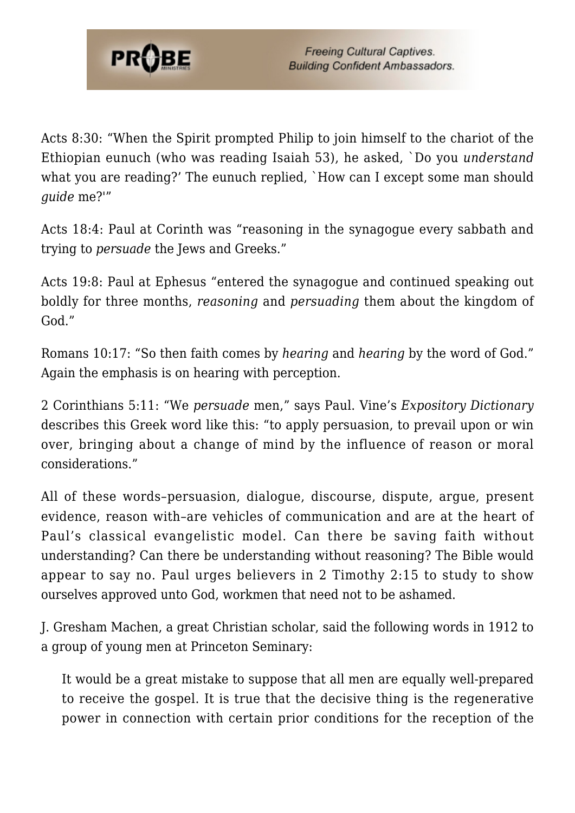

Acts 8:30: "When the Spirit prompted Philip to join himself to the chariot of the Ethiopian eunuch (who was reading Isaiah 53), he asked, `Do you *understand* what you are reading?' The eunuch replied, `How can I except some man should *guide* me?'"

Acts 18:4: Paul at Corinth was "reasoning in the synagogue every sabbath and trying to *persuade* the Jews and Greeks."

Acts 19:8: Paul at Ephesus "entered the synagogue and continued speaking out boldly for three months, *reasoning* and *persuading* them about the kingdom of God."

Romans 10:17: "So then faith comes by *hearing* and *hearing* by the word of God." Again the emphasis is on hearing with perception.

2 Corinthians 5:11: "We *persuade* men," says Paul. Vine's *Expository Dictionary* describes this Greek word like this: "to apply persuasion, to prevail upon or win over, bringing about a change of mind by the influence of reason or moral considerations."

All of these words–persuasion, dialogue, discourse, dispute, argue, present evidence, reason with–are vehicles of communication and are at the heart of Paul's classical evangelistic model. Can there be saving faith without understanding? Can there be understanding without reasoning? The Bible would appear to say no. Paul urges believers in 2 Timothy 2:15 to study to show ourselves approved unto God, workmen that need not to be ashamed.

J. Gresham Machen, a great Christian scholar, said the following words in 1912 to a group of young men at Princeton Seminary:

It would be a great mistake to suppose that all men are equally well-prepared to receive the gospel. It is true that the decisive thing is the regenerative power in connection with certain prior conditions for the reception of the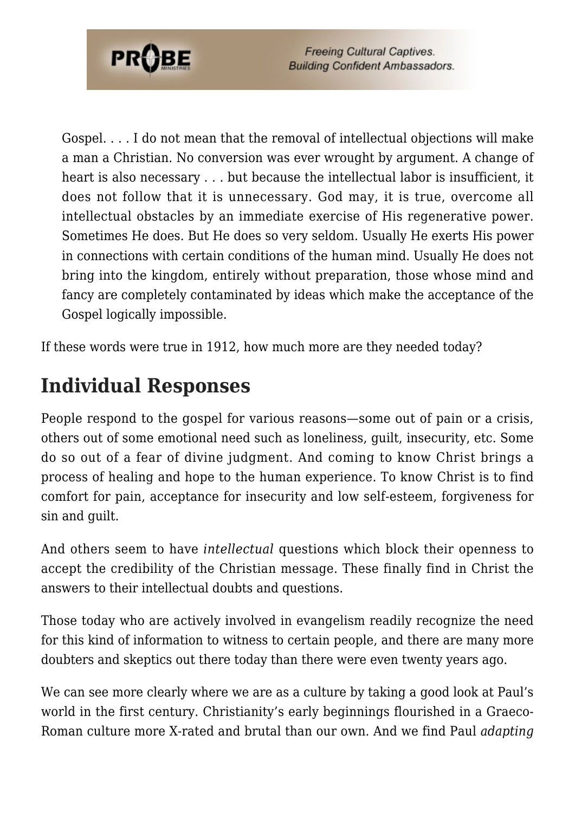

Gospel. . . . I do not mean that the removal of intellectual objections will make a man a Christian. No conversion was ever wrought by argument. A change of heart is also necessary . . . but because the intellectual labor is insufficient, it does not follow that it is unnecessary. God may, it is true, overcome all intellectual obstacles by an immediate exercise of His regenerative power. Sometimes He does. But He does so very seldom. Usually He exerts His power in connections with certain conditions of the human mind. Usually He does not bring into the kingdom, entirely without preparation, those whose mind and fancy are completely contaminated by ideas which make the acceptance of the Gospel logically impossible.

If these words were true in 1912, how much more are they needed today?

### **Individual Responses**

People respond to the gospel for various reasons—some out of pain or a crisis, others out of some emotional need such as loneliness, guilt, insecurity, etc. Some do so out of a fear of divine judgment. And coming to know Christ brings a process of healing and hope to the human experience. To know Christ is to find comfort for pain, acceptance for insecurity and low self-esteem, forgiveness for sin and guilt.

And others seem to have *intellectual* questions which block their openness to accept the credibility of the Christian message. These finally find in Christ the answers to their intellectual doubts and questions.

Those today who are actively involved in evangelism readily recognize the need for this kind of information to witness to certain people, and there are many more doubters and skeptics out there today than there were even twenty years ago.

We can see more clearly where we are as a culture by taking a good look at Paul's world in the first century. Christianity's early beginnings flourished in a Graeco-Roman culture more X-rated and brutal than our own. And we find Paul *adapting*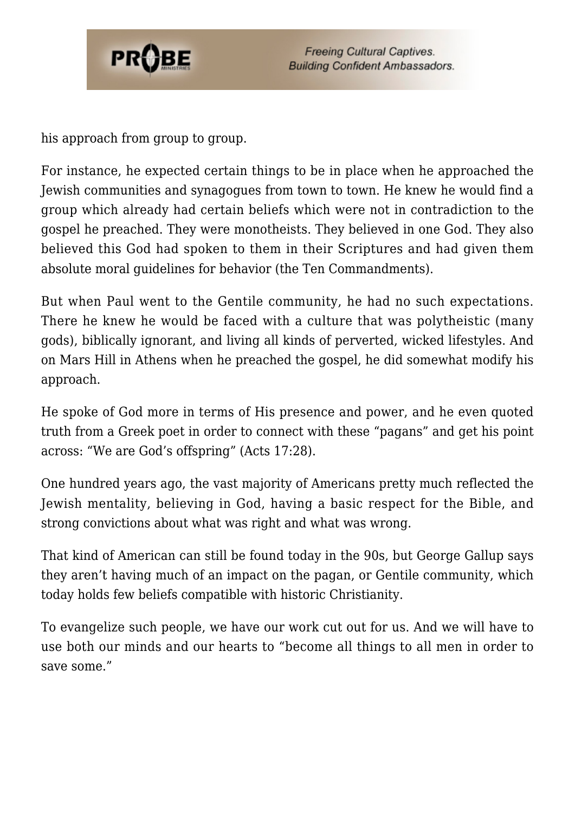

his approach from group to group.

For instance, he expected certain things to be in place when he approached the Jewish communities and synagogues from town to town. He knew he would find a group which already had certain beliefs which were not in contradiction to the gospel he preached. They were monotheists. They believed in one God. They also believed this God had spoken to them in their Scriptures and had given them absolute moral guidelines for behavior (the Ten Commandments).

But when Paul went to the Gentile community, he had no such expectations. There he knew he would be faced with a culture that was polytheistic (many gods), biblically ignorant, and living all kinds of perverted, wicked lifestyles. And on Mars Hill in Athens when he preached the gospel, he did somewhat modify his approach.

He spoke of God more in terms of His presence and power, and he even quoted truth from a Greek poet in order to connect with these "pagans" and get his point across: "We are God's offspring" (Acts 17:28).

One hundred years ago, the vast majority of Americans pretty much reflected the Jewish mentality, believing in God, having a basic respect for the Bible, and strong convictions about what was right and what was wrong.

That kind of American can still be found today in the 90s, but George Gallup says they aren't having much of an impact on the pagan, or Gentile community, which today holds few beliefs compatible with historic Christianity.

To evangelize such people, we have our work cut out for us. And we will have to use both our minds and our hearts to "become all things to all men in order to save some."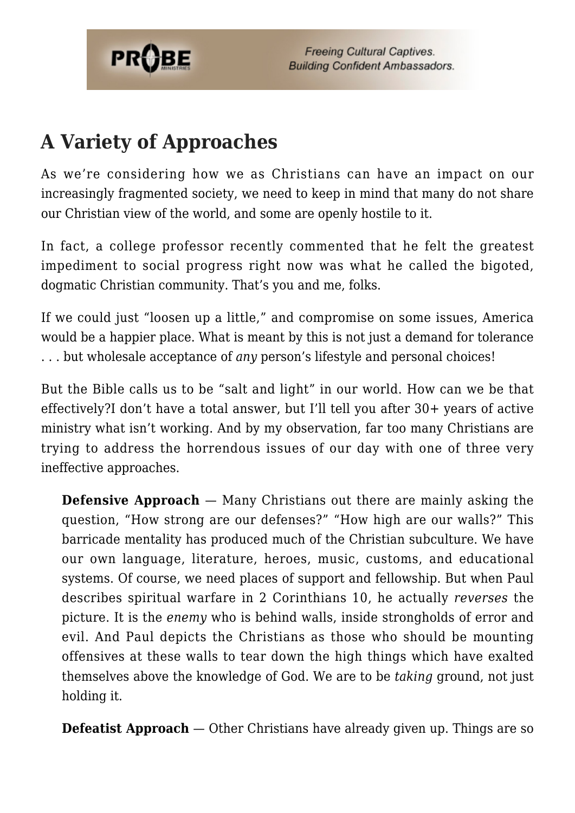

## **A Variety of Approaches**

As we're considering how we as Christians can have an impact on our increasingly fragmented society, we need to keep in mind that many do not share our Christian view of the world, and some are openly hostile to it.

In fact, a college professor recently commented that he felt the greatest impediment to social progress right now was what he called the bigoted, dogmatic Christian community. That's you and me, folks.

If we could just "loosen up a little," and compromise on some issues, America would be a happier place. What is meant by this is not just a demand for tolerance . . . but wholesale acceptance of *any* person's lifestyle and personal choices!

But the Bible calls us to be "salt and light" in our world. How can we be that effectively?I don't have a total answer, but I'll tell you after 30+ years of active ministry what isn't working. And by my observation, far too many Christians are trying to address the horrendous issues of our day with one of three very ineffective approaches.

**Defensive Approach** — Many Christians out there are mainly asking the question, "How strong are our defenses?" "How high are our walls?" This barricade mentality has produced much of the Christian subculture. We have our own language, literature, heroes, music, customs, and educational systems. Of course, we need places of support and fellowship. But when Paul describes spiritual warfare in 2 Corinthians 10, he actually *reverses* the picture. It is the *enemy* who is behind walls, inside strongholds of error and evil. And Paul depicts the Christians as those who should be mounting offensives at these walls to tear down the high things which have exalted themselves above the knowledge of God. We are to be *taking* ground, not just holding it.

**Defeatist Approach** — Other Christians have already given up. Things are so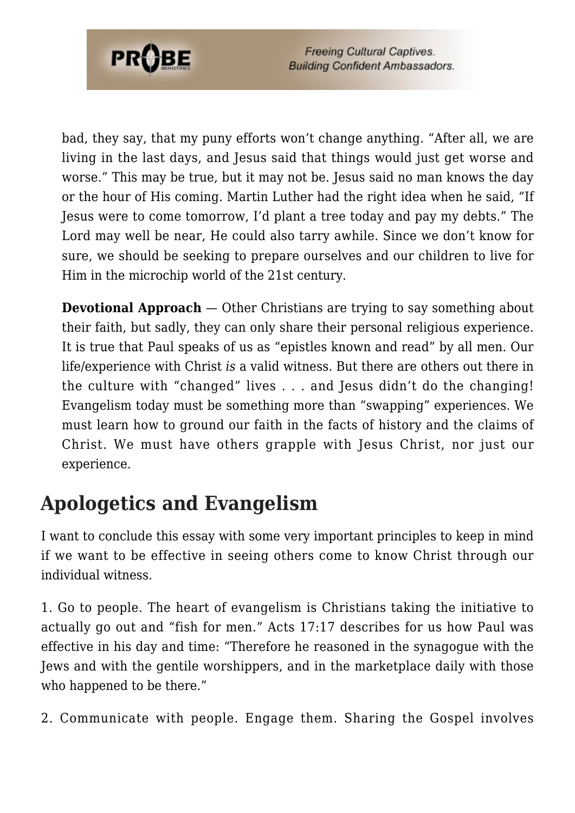

bad, they say, that my puny efforts won't change anything. "After all, we are living in the last days, and Jesus said that things would just get worse and worse." This may be true, but it may not be. Jesus said no man knows the day or the hour of His coming. Martin Luther had the right idea when he said, "If Jesus were to come tomorrow, I'd plant a tree today and pay my debts." The Lord may well be near, He could also tarry awhile. Since we don't know for sure, we should be seeking to prepare ourselves and our children to live for Him in the microchip world of the 21st century.

**Devotional Approach** — Other Christians are trying to say something about their faith, but sadly, they can only share their personal religious experience. It is true that Paul speaks of us as "epistles known and read" by all men. Our life/experience with Christ *is* a valid witness. But there are others out there in the culture with "changed" lives . . . and Jesus didn't do the changing! Evangelism today must be something more than "swapping" experiences. We must learn how to ground our faith in the facts of history and the claims of Christ. We must have others grapple with Jesus Christ, nor just our experience.

#### **Apologetics and Evangelism**

I want to conclude this essay with some very important principles to keep in mind if we want to be effective in seeing others come to know Christ through our individual witness.

1. Go to people. The heart of evangelism is Christians taking the initiative to actually go out and "fish for men." Acts 17:17 describes for us how Paul was effective in his day and time: "Therefore he reasoned in the synagogue with the Jews and with the gentile worshippers, and in the marketplace daily with those who happened to be there."

2. Communicate with people. Engage them. Sharing the Gospel involves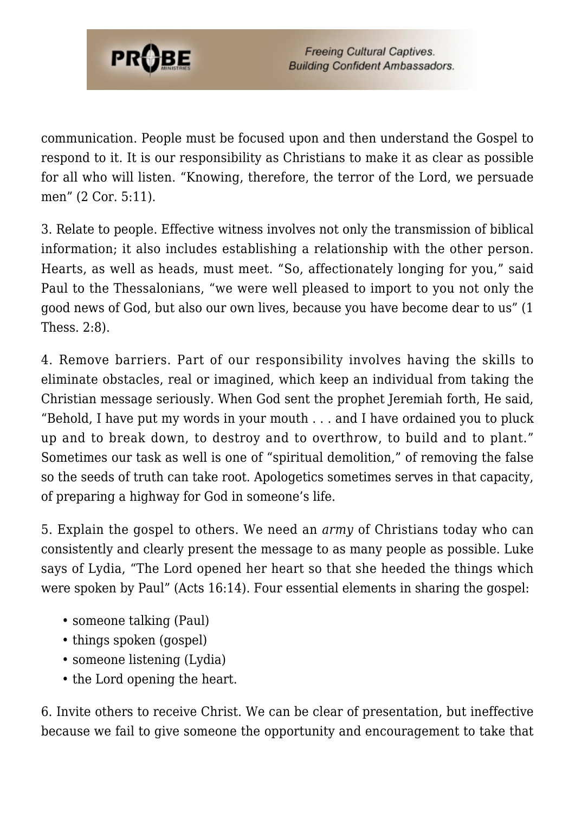

**Freeing Cultural Captives. Building Confident Ambassadors.** 

communication. People must be focused upon and then understand the Gospel to respond to it. It is our responsibility as Christians to make it as clear as possible for all who will listen. "Knowing, therefore, the terror of the Lord, we persuade men" (2 Cor. 5:11).

3. Relate to people. Effective witness involves not only the transmission of biblical information; it also includes establishing a relationship with the other person. Hearts, as well as heads, must meet. "So, affectionately longing for you," said Paul to the Thessalonians, "we were well pleased to import to you not only the good news of God, but also our own lives, because you have become dear to us" (1 Thess. 2:8).

4. Remove barriers. Part of our responsibility involves having the skills to eliminate obstacles, real or imagined, which keep an individual from taking the Christian message seriously. When God sent the prophet Jeremiah forth, He said, "Behold, I have put my words in your mouth . . . and I have ordained you to pluck up and to break down, to destroy and to overthrow, to build and to plant." Sometimes our task as well is one of "spiritual demolition," of removing the false so the seeds of truth can take root. Apologetics sometimes serves in that capacity, of preparing a highway for God in someone's life.

5. Explain the gospel to others. We need an *army* of Christians today who can consistently and clearly present the message to as many people as possible. Luke says of Lydia, "The Lord opened her heart so that she heeded the things which were spoken by Paul" (Acts 16:14). Four essential elements in sharing the gospel:

- someone talking (Paul)
- things spoken (gospel)
- someone listening (Lydia)
- the Lord opening the heart.

6. Invite others to receive Christ. We can be clear of presentation, but ineffective because we fail to give someone the opportunity and encouragement to take that